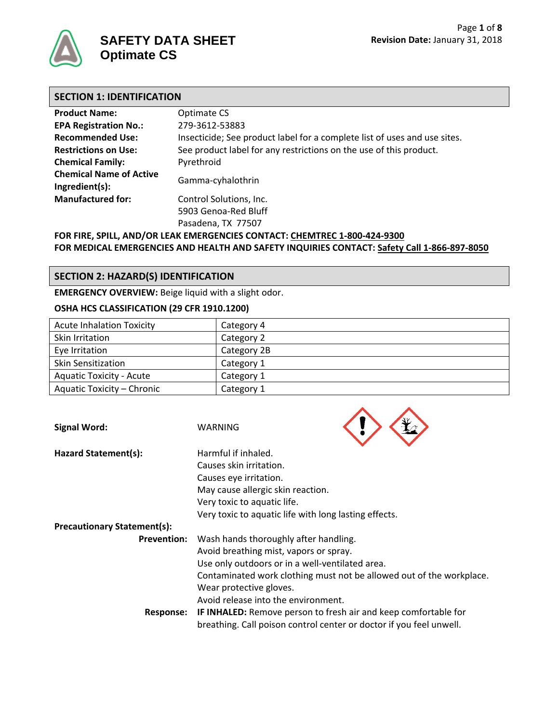

# **SECTION 1: IDENTIFICATION**

| <b>Product Name:</b>                             | Optimate CS                                                               |  |  |
|--------------------------------------------------|---------------------------------------------------------------------------|--|--|
| <b>EPA Registration No.:</b>                     | 279-3612-53883                                                            |  |  |
| <b>Recommended Use:</b>                          | Insecticide; See product label for a complete list of uses and use sites. |  |  |
| <b>Restrictions on Use:</b>                      | See product label for any restrictions on the use of this product.        |  |  |
| <b>Chemical Family:</b>                          | Pyrethroid                                                                |  |  |
| <b>Chemical Name of Active</b><br>Ingredient(s): | Gamma-cyhalothrin                                                         |  |  |
| <b>Manufactured for:</b>                         | Control Solutions, Inc.                                                   |  |  |
|                                                  | 5903 Genoa-Red Bluff                                                      |  |  |
|                                                  | Pasadena, TX 77507                                                        |  |  |

**FOR FIRE, SPILL, AND/OR LEAK EMERGENCIES CONTACT: CHEMTREC 1-800-424-9300 FOR MEDICAL EMERGENCIES AND HEALTH AND SAFETY INQUIRIES CONTACT: Safety Call 1-866-897-8050**

### **SECTION 2: HAZARD(S) IDENTIFICATION**

**EMERGENCY OVERVIEW:** Beige liquid with a slight odor.

#### **OSHA HCS CLASSIFICATION (29 CFR 1910.1200)**

| <b>Acute Inhalation Toxicity</b> | Category 4  |
|----------------------------------|-------------|
| <b>Skin Irritation</b>           | Category 2  |
| Eye Irritation                   | Category 2B |
| <b>Skin Sensitization</b>        | Category 1  |
| <b>Aquatic Toxicity - Acute</b>  | Category 1  |
| Aquatic Toxicity - Chronic       | Category 1  |

| <b>Signal Word:</b>                | WARNING                                               |                                                                                                                                               |
|------------------------------------|-------------------------------------------------------|-----------------------------------------------------------------------------------------------------------------------------------------------|
| Hazard Statement(s):               | Harmful if inhaled.                                   |                                                                                                                                               |
|                                    | Causes skin irritation.                               |                                                                                                                                               |
|                                    | Causes eye irritation.                                |                                                                                                                                               |
|                                    | May cause allergic skin reaction.                     |                                                                                                                                               |
|                                    | Very toxic to aquatic life.                           |                                                                                                                                               |
|                                    | Very toxic to aquatic life with long lasting effects. |                                                                                                                                               |
| <b>Precautionary Statement(s):</b> |                                                       |                                                                                                                                               |
| <b>Prevention:</b>                 | Wash hands thoroughly after handling.                 |                                                                                                                                               |
|                                    | Avoid breathing mist, vapors or spray.                |                                                                                                                                               |
|                                    | Use only outdoors or in a well-ventilated area.       |                                                                                                                                               |
|                                    |                                                       | Contaminated work clothing must not be allowed out of the workplace.                                                                          |
|                                    | Wear protective gloves.                               |                                                                                                                                               |
|                                    | Avoid release into the environment.                   |                                                                                                                                               |
| <b>Response:</b>                   |                                                       | <b>IF INHALED:</b> Remove person to fresh air and keep comfortable for<br>breathing. Call poison control center or doctor if you feel unwell. |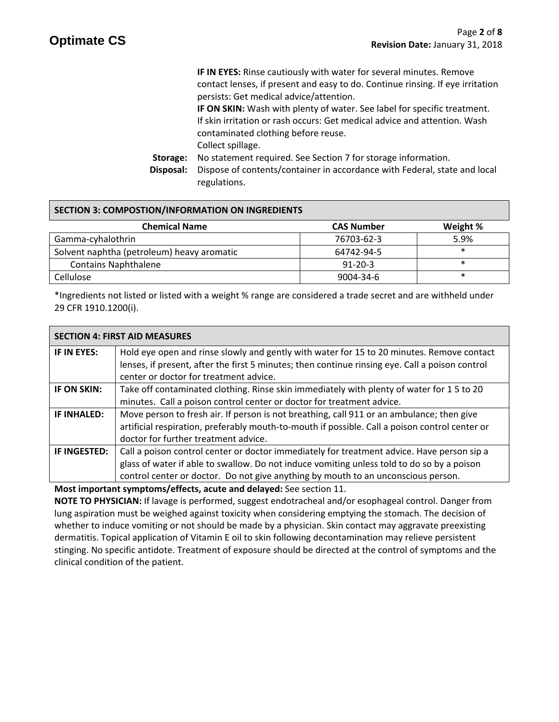**IF IN EYES:** Rinse cautiously with water for several minutes. Remove contact lenses, if present and easy to do. Continue rinsing. If eye irritation persists: Get medical advice/attention. **IF ON SKIN:** Wash with plenty of water. See label for specific treatment. If skin irritation or rash occurs: Get medical advice and attention. Wash contaminated clothing before reuse. Collect spillage. **Storage:** No statement required. See Section 7 for storage information. **Disposal:** Dispose of contents/container in accordance with Federal, state and local regulations.

#### **SECTION 3: COMPOSTION/INFORMATION ON INGREDIENTS**

| <b>Chemical Name</b>                       | <b>CAS Number</b> | Weight % |
|--------------------------------------------|-------------------|----------|
| Gamma-cyhalothrin                          | 76703-62-3        | 5.9%     |
| Solvent naphtha (petroleum) heavy aromatic | 64742-94-5        | $\ast$   |
| <b>Contains Naphthalene</b>                | $91 - 20 - 3$     |          |
| Cellulose                                  | 9004-34-6         |          |

\*Ingredients not listed or listed with a weight % range are considered a trade secret and are withheld under 29 CFR 1910.1200(i).

| <b>SECTION 4: FIRST AID MEASURES</b> |                                                                                                                                                                                                                                                                               |  |
|--------------------------------------|-------------------------------------------------------------------------------------------------------------------------------------------------------------------------------------------------------------------------------------------------------------------------------|--|
| IF IN EYES:                          | Hold eye open and rinse slowly and gently with water for 15 to 20 minutes. Remove contact<br>lenses, if present, after the first 5 minutes; then continue rinsing eye. Call a poison control<br>center or doctor for treatment advice.                                        |  |
| <b>IF ON SKIN:</b>                   | Take off contaminated clothing. Rinse skin immediately with plenty of water for 15 to 20<br>minutes. Call a poison control center or doctor for treatment advice.                                                                                                             |  |
| IF INHALED:                          | Move person to fresh air. If person is not breathing, call 911 or an ambulance; then give<br>artificial respiration, preferably mouth-to-mouth if possible. Call a poison control center or<br>doctor for further treatment advice.                                           |  |
| IF INGESTED:                         | Call a poison control center or doctor immediately for treatment advice. Have person sip a<br>glass of water if able to swallow. Do not induce vomiting unless told to do so by a poison<br>control center or doctor. Do not give anything by mouth to an unconscious person. |  |

**Most important symptoms/effects, acute and delayed:** See section 11.

**NOTE TO PHYSICIAN:** If lavage is performed, suggest endotracheal and/or esophageal control. Danger from lung aspiration must be weighed against toxicity when considering emptying the stomach. The decision of whether to induce vomiting or not should be made by a physician. Skin contact may aggravate preexisting dermatitis. Topical application of Vitamin E oil to skin following decontamination may relieve persistent stinging. No specific antidote. Treatment of exposure should be directed at the control of symptoms and the clinical condition of the patient.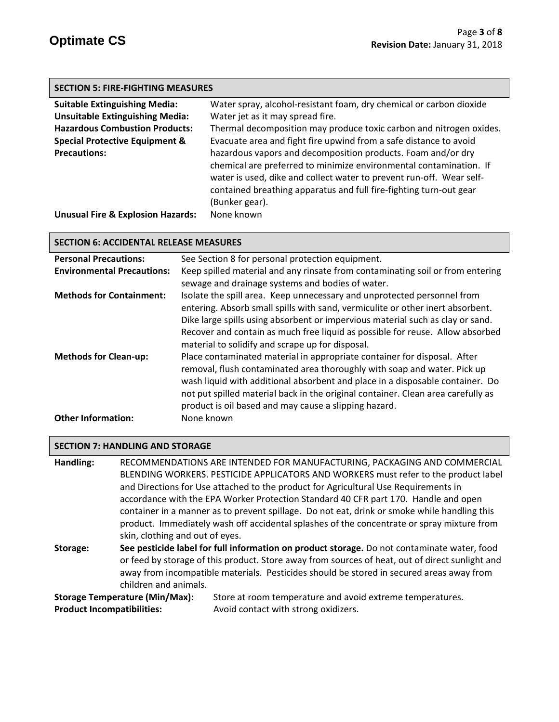| <b>SECTION 5: FIRE-FIGHTING MEASURES</b> |  |
|------------------------------------------|--|
|------------------------------------------|--|

| <b>Suitable Extinguishing Media:</b>         | Water spray, alcohol-resistant foam, dry chemical or carbon dioxide  |
|----------------------------------------------|----------------------------------------------------------------------|
| <b>Unsuitable Extinguishing Media:</b>       | Water jet as it may spread fire.                                     |
| <b>Hazardous Combustion Products:</b>        | Thermal decomposition may produce toxic carbon and nitrogen oxides.  |
| <b>Special Protective Equipment &amp;</b>    | Evacuate area and fight fire upwind from a safe distance to avoid    |
| <b>Precautions:</b>                          | hazardous vapors and decomposition products. Foam and/or dry         |
|                                              | chemical are preferred to minimize environmental contamination. If   |
|                                              | water is used, dike and collect water to prevent run-off. Wear self- |
|                                              | contained breathing apparatus and full fire-fighting turn-out gear   |
|                                              | (Bunker gear).                                                       |
| <b>Unusual Fire &amp; Explosion Hazards:</b> | None known                                                           |

#### **SECTION 6: ACCIDENTAL RELEASE MEASURES**

| <b>Personal Precautions:</b>                              | See Section 8 for personal protection equipment.                                                                                                                                                                                                                                                                                                                                                 |  |  |
|-----------------------------------------------------------|--------------------------------------------------------------------------------------------------------------------------------------------------------------------------------------------------------------------------------------------------------------------------------------------------------------------------------------------------------------------------------------------------|--|--|
| <b>Environmental Precautions:</b>                         | Keep spilled material and any rinsate from contaminating soil or from entering                                                                                                                                                                                                                                                                                                                   |  |  |
|                                                           | sewage and drainage systems and bodies of water.                                                                                                                                                                                                                                                                                                                                                 |  |  |
| <b>Methods for Containment:</b>                           | Isolate the spill area. Keep unnecessary and unprotected personnel from<br>entering. Absorb small spills with sand, vermiculite or other inert absorbent.<br>Dike large spills using absorbent or impervious material such as clay or sand.<br>Recover and contain as much free liquid as possible for reuse. Allow absorbed<br>material to solidify and scrape up for disposal.                 |  |  |
| <b>Methods for Clean-up:</b><br><b>Other Information:</b> | Place contaminated material in appropriate container for disposal. After<br>removal, flush contaminated area thoroughly with soap and water. Pick up<br>wash liquid with additional absorbent and place in a disposable container. Do<br>not put spilled material back in the original container. Clean area carefully as<br>product is oil based and may cause a slipping hazard.<br>None known |  |  |
|                                                           |                                                                                                                                                                                                                                                                                                                                                                                                  |  |  |

#### **SECTION 7: HANDLING AND STORAGE**

**Handling:** RECOMMENDATIONS ARE INTENDED FOR MANUFACTURING, PACKAGING AND COMMERCIAL BLENDING WORKERS. PESTICIDE APPLICATORS AND WORKERS must refer to the product label and Directions for Use attached to the product for Agricultural Use Requirements in accordance with the EPA Worker Protection Standard 40 CFR part 170.Handle and open container in a manner as to prevent spillage. Do not eat, drink or smoke while handling this product. Immediately wash off accidental splashes of the concentrate or spray mixture from skin, clothing and out of eyes.

**Storage: See pesticide label for full information on product storage.** Do not contaminate water, food or feed by storage of this product. Store away from sources of heat, out of direct sunlight and away from incompatible materials. Pesticides should be stored in secured areas away from children and animals.

Storage Temperature (Min/Max): Store at room temperature and avoid extreme temperatures. **Product Incompatibilities:** Avoid contact with strong oxidizers.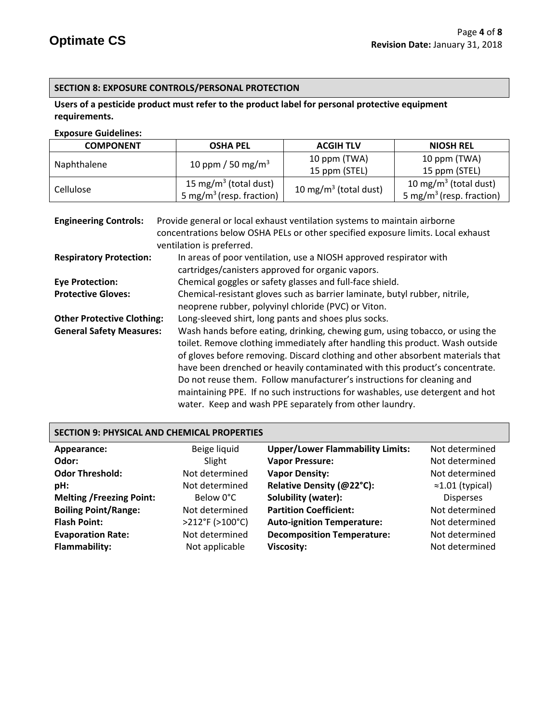# **SECTION 8: EXPOSURE CONTROLS/PERSONAL PROTECTION**

# **Users of a pesticide product must refer to the product label for personal protective equipment requirements.**

#### **Exposure Guidelines:**

| <b>COMPONENT</b> | <b>OSHA PEL</b>                      | <b>ACGIH TLV</b>                  | <b>NIOSH REL</b>                     |
|------------------|--------------------------------------|-----------------------------------|--------------------------------------|
|                  |                                      | 10 ppm (TWA)                      | 10 ppm (TWA)                         |
| Naphthalene      | 10 ppm / 50 mg/m <sup>3</sup>        | 15 ppm (STEL)                     | 15 ppm (STEL)                        |
|                  | 15 mg/m <sup>3</sup> (total dust)    |                                   | 10 mg/m <sup>3</sup> (total dust)    |
| Cellulose        | 5 mg/m <sup>3</sup> (resp. fraction) | 10 mg/m <sup>3</sup> (total dust) | 5 mg/m <sup>3</sup> (resp. fraction) |

| <b>Engineering Controls:</b>      | Provide general or local exhaust ventilation systems to maintain airborne        |  |  |
|-----------------------------------|----------------------------------------------------------------------------------|--|--|
|                                   | concentrations below OSHA PELs or other specified exposure limits. Local exhaust |  |  |
|                                   | ventilation is preferred.                                                        |  |  |
| <b>Respiratory Protection:</b>    | In areas of poor ventilation, use a NIOSH approved respirator with               |  |  |
|                                   | cartridges/canisters approved for organic vapors.                                |  |  |
| <b>Eye Protection:</b>            | Chemical goggles or safety glasses and full-face shield.                         |  |  |
| <b>Protective Gloves:</b>         | Chemical-resistant gloves such as barrier laminate, butyl rubber, nitrile,       |  |  |
|                                   | neoprene rubber, polyvinyl chloride (PVC) or Viton.                              |  |  |
| <b>Other Protective Clothing:</b> | Long-sleeved shirt, long pants and shoes plus socks.                             |  |  |
| <b>General Safety Measures:</b>   | Wash hands before eating, drinking, chewing gum, using tobacco, or using the     |  |  |
|                                   | toilet. Remove clothing immediately after handling this product. Wash outside    |  |  |
|                                   | of gloves before removing. Discard clothing and other absorbent materials that   |  |  |
|                                   | have been drenched or heavily contaminated with this product's concentrate.      |  |  |
|                                   | Do not reuse them. Follow manufacturer's instructions for cleaning and           |  |  |
|                                   | maintaining PPE. If no such instructions for washables, use detergent and hot    |  |  |
|                                   | water. Keep and wash PPE separately from other laundry.                          |  |  |

| <b>SECTION 9: PHYSICAL AND CHEMICAL PROPERTIES</b> |                 |                                         |                          |
|----------------------------------------------------|-----------------|-----------------------------------------|--------------------------|
| Appearance:                                        | Beige liquid    | <b>Upper/Lower Flammability Limits:</b> | Not determined           |
| Odor:                                              | Slight          | <b>Vapor Pressure:</b>                  | Not determined           |
| <b>Odor Threshold:</b>                             | Not determined  | <b>Vapor Density:</b>                   | Not determined           |
| pH:                                                | Not determined  | Relative Density (@22°C):               | $\approx$ 1.01 (typical) |
| <b>Melting /Freezing Point:</b>                    | Below 0°C       | Solubility (water):                     | <b>Disperses</b>         |
| <b>Boiling Point/Range:</b>                        | Not determined  | <b>Partition Coefficient:</b>           | Not determined           |
| <b>Flash Point:</b>                                | >212°F (>100°C) | <b>Auto-ignition Temperature:</b>       | Not determined           |
| <b>Evaporation Rate:</b>                           | Not determined  | <b>Decomposition Temperature:</b>       | Not determined           |
| Flammability:                                      | Not applicable  | Viscosity:                              | Not determined           |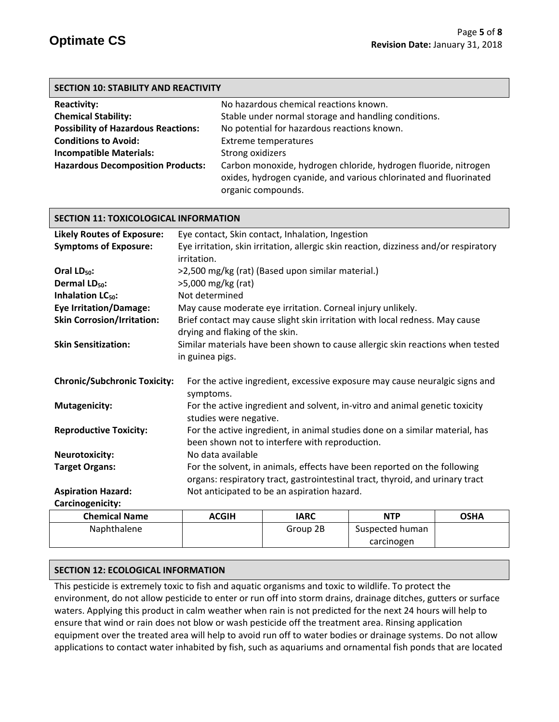| <b>SECTION 10: STABILITY AND REACTIVITY</b> |                                                                                                                                                            |  |
|---------------------------------------------|------------------------------------------------------------------------------------------------------------------------------------------------------------|--|
| <b>Reactivity:</b>                          | No hazardous chemical reactions known.                                                                                                                     |  |
| <b>Chemical Stability:</b>                  | Stable under normal storage and handling conditions.                                                                                                       |  |
| <b>Possibility of Hazardous Reactions:</b>  | No potential for hazardous reactions known.                                                                                                                |  |
| <b>Conditions to Avoid:</b>                 | <b>Extreme temperatures</b>                                                                                                                                |  |
| <b>Incompatible Materials:</b>              | Strong oxidizers                                                                                                                                           |  |
| <b>Hazardous Decomposition Products:</b>    | Carbon monoxide, hydrogen chloride, hydrogen fluoride, nitrogen<br>oxides, hydrogen cyanide, and various chlorinated and fluorinated<br>organic compounds. |  |

#### **SECTION 11: TOXICOLOGICAL INFORMATION**

| <b>Likely Routes of Exposure:</b>   | Eye contact, Skin contact, Inhalation, Ingestion                                                                |  |  |
|-------------------------------------|-----------------------------------------------------------------------------------------------------------------|--|--|
| <b>Symptoms of Exposure:</b>        | Eye irritation, skin irritation, allergic skin reaction, dizziness and/or respiratory                           |  |  |
|                                     | irritation.                                                                                                     |  |  |
| Oral $LD_{50}$ :                    | >2,500 mg/kg (rat) (Based upon similar material.)                                                               |  |  |
| Dermal LD <sub>50</sub> :           | >5,000 mg/kg (rat)                                                                                              |  |  |
| Inhalation LC <sub>50</sub> :       | Not determined                                                                                                  |  |  |
| <b>Eye Irritation/Damage:</b>       | May cause moderate eye irritation. Corneal injury unlikely.                                                     |  |  |
| <b>Skin Corrosion/Irritation:</b>   | Brief contact may cause slight skin irritation with local redness. May cause<br>drying and flaking of the skin. |  |  |
| <b>Skin Sensitization:</b>          | Similar materials have been shown to cause allergic skin reactions when tested                                  |  |  |
|                                     | in guinea pigs.                                                                                                 |  |  |
|                                     |                                                                                                                 |  |  |
| <b>Chronic/Subchronic Toxicity:</b> | For the active ingredient, excessive exposure may cause neuralgic signs and<br>symptoms.                        |  |  |
| <b>Mutagenicity:</b>                | For the active ingredient and solvent, in-vitro and animal genetic toxicity<br>studies were negative.           |  |  |
| <b>Reproductive Toxicity:</b>       | For the active ingredient, in animal studies done on a similar material, has                                    |  |  |
|                                     | been shown not to interfere with reproduction.                                                                  |  |  |
| <b>Neurotoxicity:</b>               | No data available                                                                                               |  |  |
| <b>Target Organs:</b>               | For the solvent, in animals, effects have been reported on the following                                        |  |  |
|                                     | organs: respiratory tract, gastrointestinal tract, thyroid, and urinary tract                                   |  |  |
| <b>Aspiration Hazard:</b>           | Not anticipated to be an aspiration hazard.                                                                     |  |  |
| Carcinogenicity:                    |                                                                                                                 |  |  |
|                                     |                                                                                                                 |  |  |

| <b>Chemical Name</b> | <b>ACGIH</b> | <b>IARC</b> | NTP             | <b>OSHA</b> |
|----------------------|--------------|-------------|-----------------|-------------|
| Naphthalene          |              | Group 2B    | Suspected human |             |
|                      |              |             | carcinogen      |             |
|                      |              |             |                 |             |

#### **SECTION 12: ECOLOGICAL INFORMATION**

This pesticide is extremely toxic to fish and aquatic organisms and toxic to wildlife. To protect the environment, do not allow pesticide to enter or run off into storm drains, drainage ditches, gutters or surface waters. Applying this product in calm weather when rain is not predicted for the next 24 hours will help to ensure that wind or rain does not blow or wash pesticide off the treatment area. Rinsing application equipment over the treated area will help to avoid run off to water bodies or drainage systems. Do not allow applications to contact water inhabited by fish, such as aquariums and ornamental fish ponds that are located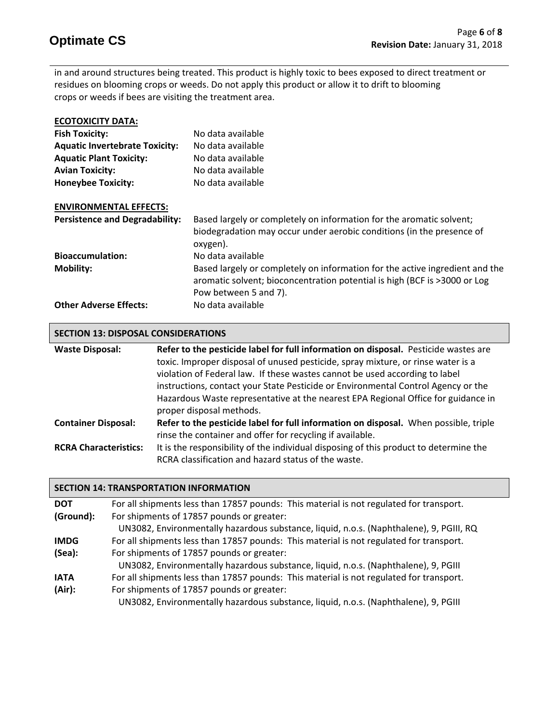in and around structures being treated. This product is highly toxic to bees exposed to direct treatment or residues on blooming crops or weeds. Do not apply this product or allow it to drift to blooming crops or weeds if bees are visiting the treatment area.

| <b>ECOTOXICITY DATA:</b>              |                                                                                                                                                                                    |
|---------------------------------------|------------------------------------------------------------------------------------------------------------------------------------------------------------------------------------|
| <b>Fish Toxicity:</b>                 | No data available                                                                                                                                                                  |
| <b>Aquatic Invertebrate Toxicity:</b> | No data available                                                                                                                                                                  |
| <b>Aquatic Plant Toxicity:</b>        | No data available                                                                                                                                                                  |
| <b>Avian Toxicity:</b>                | No data available                                                                                                                                                                  |
| <b>Honeybee Toxicity:</b>             | No data available                                                                                                                                                                  |
| <b>ENVIRONMENTAL EFFECTS:</b>         |                                                                                                                                                                                    |
| <b>Persistence and Degradability:</b> | Based largely or completely on information for the aromatic solvent;<br>biodegradation may occur under aerobic conditions (in the presence of<br>oxygen).                          |
| <b>Bioaccumulation:</b>               | No data available                                                                                                                                                                  |
| <b>Mobility:</b>                      | Based largely or completely on information for the active ingredient and the<br>aromatic solvent; bioconcentration potential is high (BCF is >3000 or Log<br>Pow between 5 and 7). |
| <b>Other Adverse Effects:</b>         | No data available                                                                                                                                                                  |

#### **SECTION 13: DISPOSAL CONSIDERATIONS**

| <b>Waste Disposal:</b>       | Refer to the pesticide label for full information on disposal. Pesticide wastes are<br>toxic. Improper disposal of unused pesticide, spray mixture, or rinse water is a<br>violation of Federal law. If these wastes cannot be used according to label<br>instructions, contact your State Pesticide or Environmental Control Agency or the<br>Hazardous Waste representative at the nearest EPA Regional Office for guidance in<br>proper disposal methods. |
|------------------------------|--------------------------------------------------------------------------------------------------------------------------------------------------------------------------------------------------------------------------------------------------------------------------------------------------------------------------------------------------------------------------------------------------------------------------------------------------------------|
| <b>Container Disposal:</b>   | Refer to the pesticide label for full information on disposal. When possible, triple<br>rinse the container and offer for recycling if available.                                                                                                                                                                                                                                                                                                            |
| <b>RCRA Characteristics:</b> | It is the responsibility of the individual disposing of this product to determine the<br>RCRA classification and hazard status of the waste.                                                                                                                                                                                                                                                                                                                 |

#### **SECTION 14: TRANSPORTATION INFORMATION**

| <b>DOT</b>  | For all shipments less than 17857 pounds: This material is not regulated for transport. |
|-------------|-----------------------------------------------------------------------------------------|
| (Ground):   | For shipments of 17857 pounds or greater:                                               |
|             | UN3082, Environmentally hazardous substance, liquid, n.o.s. (Naphthalene), 9, PGIII, RQ |
| <b>IMDG</b> | For all shipments less than 17857 pounds: This material is not regulated for transport. |
| (Sea):      | For shipments of 17857 pounds or greater:                                               |
|             | UN3082, Environmentally hazardous substance, liquid, n.o.s. (Naphthalene), 9, PGIII     |
| <b>IATA</b> | For all shipments less than 17857 pounds: This material is not regulated for transport. |
| (Air):      | For shipments of 17857 pounds or greater:                                               |
|             | UN3082, Environmentally hazardous substance, liquid, n.o.s. (Naphthalene), 9, PGIII     |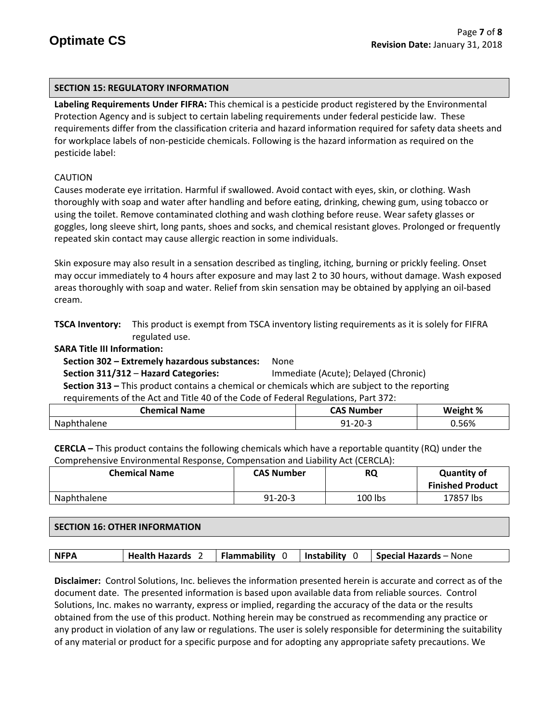#### **SECTION 15: REGULATORY INFORMATION**

**Labeling Requirements Under FIFRA:** This chemical is a pesticide product registered by the Environmental Protection Agency and is subject to certain labeling requirements under federal pesticide law. These requirements differ from the classification criteria and hazard information required for safety data sheets and for workplace labels of non-pesticide chemicals. Following is the hazard information as required on the pesticide label:

### CAUTION

Causes moderate eye irritation. Harmful if swallowed. Avoid contact with eyes, skin, or clothing. Wash thoroughly with soap and water after handling and before eating, drinking, chewing gum, using tobacco or using the toilet. Remove contaminated clothing and wash clothing before reuse. Wear safety glasses or goggles, long sleeve shirt, long pants, shoes and socks, and chemical resistant gloves. Prolonged or frequently repeated skin contact may cause allergic reaction in some individuals.

Skin exposure may also result in a sensation described as tingling, itching, burning or prickly feeling. Onset may occur immediately to 4 hours after exposure and may last 2 to 30 hours, without damage. Wash exposed areas thoroughly with soap and water. Relief from skin sensation may be obtained by applying an oil-based cream.

**TSCA Inventory:** This product is exempt from TSCA inventory listing requirements as it is solely for FIFRA regulated use.

#### **SARA Title III Information:**

 **Section 302 – Extremely hazardous substances:** None

 **Section 311/312** – **Hazard Categories:** Immediate (Acute); Delayed (Chronic)  **Section 313 –** This product contains a chemical or chemicals which are subject to the reporting requirements of the Act and Title 40 of the Code of Federal Regulations, Part 372:

| `Name<br><b>Chemical</b> | <b>CAC Nh</b><br>lumber<br>-- | रht %<br>Weight |
|--------------------------|-------------------------------|-----------------|
| Na<br>ene                | 20.2<br>ت ب∡                  | .56%            |

**CERCLA –** This product contains the following chemicals which have a reportable quantity (RQ) under the Comprehensive Environmental Response, Compensation and Liability Act (CERCLA):

| <b>Chemical Name</b> | <b>CAS Number</b> | <b>RQ</b> | <b>Quantity of</b><br><b>Finished Product</b> |
|----------------------|-------------------|-----------|-----------------------------------------------|
| Naphthalene          | $91 - 20 - 3$     | 100 lbs   | 17857 lbs                                     |

# **SECTION 16: OTHER INFORMATION**

| Flammability<br>Instability 0<br><b>NFPA</b><br><b>Health Hazards</b><br><b>Special Hazards – None</b> |
|--------------------------------------------------------------------------------------------------------|
|--------------------------------------------------------------------------------------------------------|

**Disclaimer:** Control Solutions, Inc. believes the information presented herein is accurate and correct as of the document date. The presented information is based upon available data from reliable sources. Control Solutions, Inc. makes no warranty, express or implied, regarding the accuracy of the data or the results obtained from the use of this product. Nothing herein may be construed as recommending any practice or any product in violation of any law or regulations. The user is solely responsible for determining the suitability of any material or product for a specific purpose and for adopting any appropriate safety precautions. We